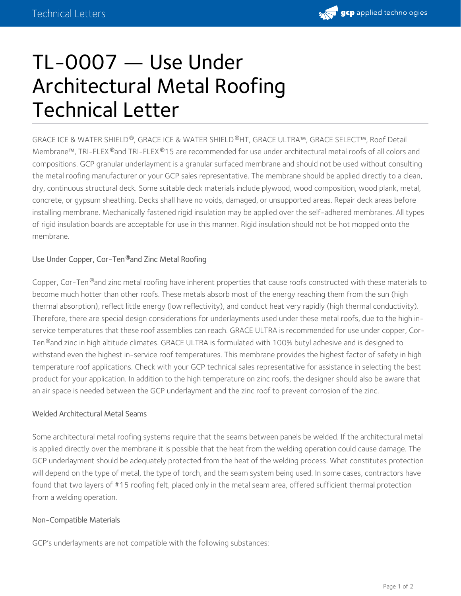

# TL-0007 — Use Under Architectural Metal Roofing Technical Letter

GRACE ICE & WATER SHIELD®, GRACE ICE & WATER SHIELD®HT, GRACE ULTRA™, GRACE SELECT™, Roof Detail Membrane™, TRI-FLEX ®and TRI-FLEX ®15 are recommended for use under architectural metal roofs of all colors and compositions. GCP granular underlayment is a granular surfaced membrane and should not be used without consulting the metal roofing manufacturer or your GCP sales representative. The membrane should be applied directly to a clean, dry, continuous structural deck. Some suitable deck materials include plywood, wood composition, wood plank, metal, concrete, or gypsum sheathing. Decks shall have no voids, damaged, or unsupported areas. Repair deck areas before installing membrane. Mechanically fastened rigid insulation may be applied over the self-adhered membranes. All types of rigid insulation boards are acceptable for use in this manner. Rigid insulation should not be hot mopped onto the membrane.

### Use Under Copper, Cor-Ten<sup>®</sup>and Zinc Metal Roofing

Copper, Cor-Ten®and zinc metal roofing have inherent properties that cause roofs constructed with these materials to become much hotter than other roofs. These metals absorb most of the energy reaching them from the sun (high thermal absorption), reflect little energy (low reflectivity), and conduct heat very rapidly (high thermal conductivity). Therefore, there are special design considerations for underlayments used under these metal roofs, due to the high inservice temperatures that these roof assemblies can reach. GRACE ULTRA is recommended for use under copper, Cor- Ten®and zinc in high altitude climates. GRACE ULTRA is formulated with 100% butyl adhesive and is designed to withstand even the highest in-service roof temperatures. This membrane provides the highest factor of safety in high temperature roof applications. Check with your GCP technical sales representative for assistance in selecting the best product for your application. In addition to the high temperature on zinc roofs, the designer should also be aware that an air space is needed between the GCP underlayment and the zinc roof to prevent corrosion of the zinc.

#### Welded Architectural Metal Seams

Some architectural metal roofing systems require that the seams between panels be welded. If the architectural metal is applied directly over the membrane it is possible that the heat from the welding operation could cause damage. The GCP underlayment should be adequately protected from the heat of the welding process. What constitutes protection will depend on the type of metal, the type of torch, and the seam system being used. In some cases, contractors have found that two layers of #15 roofing felt, placed only in the metal seam area, offered sufficient thermal protection from a welding operation.

#### Non-Compatible Materials

GCP's underlayments are not compatible with the following substances: